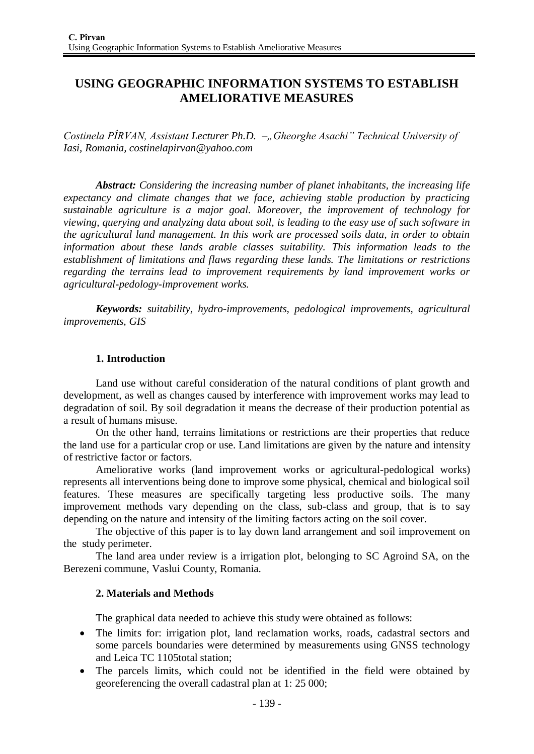# **USING GEOGRAPHIC INFORMATION SYSTEMS TO ESTABLISH AMELIORATIVE MEASURES**

*Costinela PÎRVAN, Assistant Lecturer Ph.D. –, Gheorghe Asachi* " *Technical University of Iasi, Romania, costinelapirvan@yahoo.com*

*Abstract: Considering the increasing number of planet inhabitants, the increasing life expectancy and climate changes that we face, achieving stable production by practicing sustainable agriculture is a major goal. Moreover, the improvement of technology for viewing, querying and analyzing data about soil, is leading to the easy use of such software in the agricultural land management. In this work are processed soils data, in order to obtain information about these lands arable classes suitability. This information leads to the establishment of limitations and flaws regarding these lands. The limitations or restrictions regarding the terrains lead to improvement requirements by land improvement works or agricultural-pedology-improvement works.*

*Keywords: suitability, hydro-improvements, pedological improvements, agricultural improvements, GIS*

### **1. Introduction**

Land use without careful consideration of the natural conditions of plant growth and development, as well as changes caused by interference with improvement works may lead to degradation of soil. By soil degradation it means the decrease of their production potential as a result of humans misuse.

On the other hand, terrains limitations or restrictions are their properties that reduce the land use for a particular crop or use. Land limitations are given by the nature and intensity of restrictive factor or factors.

Ameliorative works (land improvement works or agricultural-pedological works) represents all interventions being done to improve some physical, chemical and biological soil features. These measures are specifically targeting less productive soils. The many improvement methods vary depending on the class, sub-class and group, that is to say depending on the nature and intensity of the limiting factors acting on the soil cover.

The objective of this paper is to lay down land arrangement and soil improvement on the study perimeter.

The land area under review is a irrigation plot, belonging to SC Agroind SA, on the Berezeni commune, Vaslui County, Romania.

### **2. Materials and Methods**

The graphical data needed to achieve this study were obtained as follows:

- The limits for: irrigation plot, land reclamation works, roads, cadastral sectors and some parcels boundaries were determined by measurements using GNSS technology and Leica TC 1105total station;
- The parcels limits, which could not be identified in the field were obtained by georeferencing the overall cadastral plan at 1: 25 000;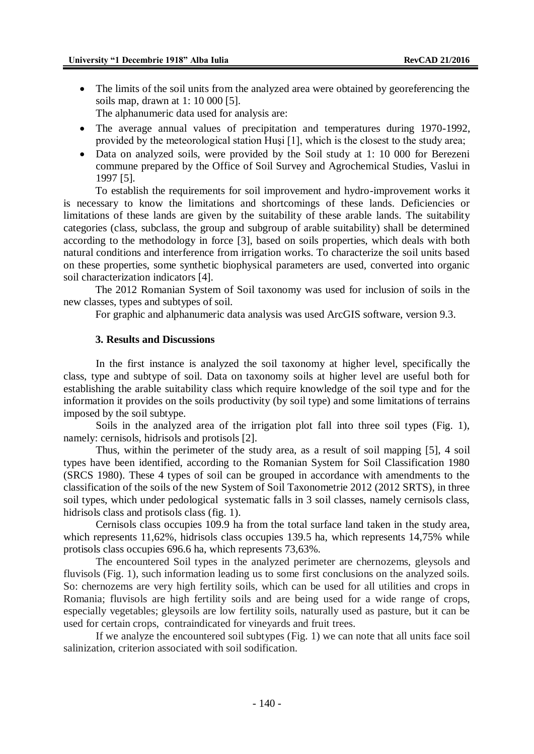- The limits of the soil units from the analyzed area were obtained by georeferencing the soils map, drawn at 1: 10 000 [5]. The alphanumeric data used for analysis are:
- The average annual values of precipitation and temperatures during 1970-1992, provided by the meteorological station Huşi [1], which is the closest to the study area;
- Data on analyzed soils, were provided by the Soil study at 1: 10 000 for Berezeni commune prepared by the Office of Soil Survey and Agrochemical Studies, Vaslui in 1997 [5].

To establish the requirements for soil improvement and hydro-improvement works it is necessary to know the limitations and shortcomings of these lands. Deficiencies or limitations of these lands are given by the suitability of these arable lands. The suitability categories (class, subclass, the group and subgroup of arable suitability) shall be determined according to the methodology in force [3], based on soils properties, which deals with both natural conditions and interference from irrigation works. To characterize the soil units based on these properties, some synthetic biophysical parameters are used, converted into organic soil characterization indicators [4].

The 2012 Romanian System of Soil taxonomy was used for inclusion of soils in the new classes, types and subtypes of soil.

For graphic and alphanumeric data analysis was used ArcGIS software, version 9.3.

#### **3. Results and Discussions**

In the first instance is analyzed the soil taxonomy at higher level, specifically the class, type and subtype of soil. Data on taxonomy soils at higher level are useful both for establishing the arable suitability class which require knowledge of the soil type and for the information it provides on the soils productivity (by soil type) and some limitations of terrains imposed by the soil subtype.

Soils in the analyzed area of the irrigation plot fall into three soil types (Fig. 1), namely: cernisols, hidrisols and protisols [2].

Thus, within the perimeter of the study area, as a result of soil mapping [5], 4 soil types have been identified, according to the Romanian System for Soil Classification 1980 (SRCS 1980). These 4 types of soil can be grouped in accordance with amendments to the classification of the soils of the new System of Soil Taxonometrie 2012 (2012 SRTS), in three soil types, which under pedological systematic falls in 3 soil classes, namely cernisols class, hidrisols class and protisols class (fig. 1).

Cernisols class occupies 109.9 ha from the total surface land taken in the study area, which represents 11,62%, hidrisols class occupies 139.5 ha, which represents 14,75% while protisols class occupies 696.6 ha, which represents 73,63%.

The encountered Soil types in the analyzed perimeter are chernozems, gleysols and fluvisols (Fig. 1), such information leading us to some first conclusions on the analyzed soils. So: chernozems are very high fertility soils, which can be used for all utilities and crops in Romania; fluvisols are high fertility soils and are being used for a wide range of crops, especially vegetables; gleysoils are low fertility soils, naturally used as pasture, but it can be used for certain crops, contraindicated for vineyards and fruit trees.

If we analyze the encountered soil subtypes (Fig. 1) we can note that all units face soil salinization, criterion associated with soil sodification.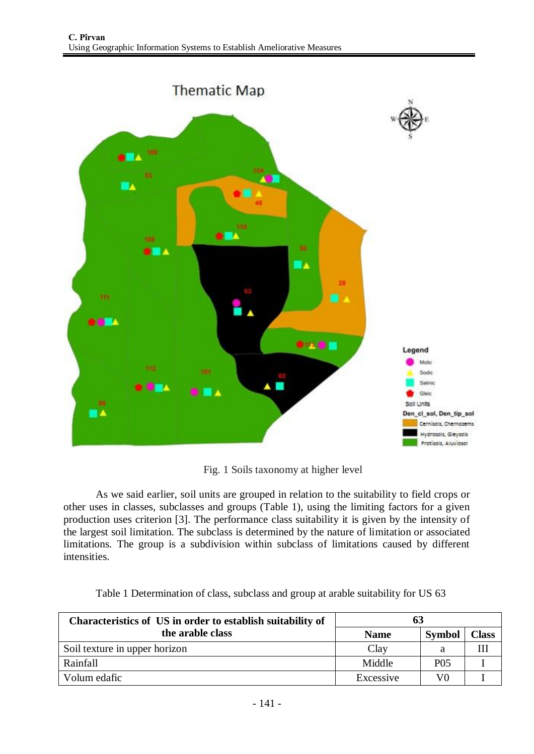

Fig. 1 Soils taxonomy at higher level

As we said earlier, soil units are grouped in relation to the suitability to field crops or other uses in classes, subclasses and groups (Table 1), using the limiting factors for a given production uses criterion [3]. The performance class suitability it is given by the intensity of the largest soil limitation. The subclass is determined by the nature of limitation or associated limitations. The group is a subdivision within subclass of limitations caused by different intensities.

|  |  | Table 1 Determination of class, subclass and group at arable suitability for US 63 |  |
|--|--|------------------------------------------------------------------------------------|--|
|--|--|------------------------------------------------------------------------------------|--|

| Characteristics of US in order to establish suitability of | 63          |                 |              |  |  |  |  |
|------------------------------------------------------------|-------------|-----------------|--------------|--|--|--|--|
| the arable class                                           | <b>Name</b> | Symbol          | <b>Class</b> |  |  |  |  |
| Soil texture in upper horizon                              | Clay        | а               |              |  |  |  |  |
| Rainfall                                                   | Middle      | P <sub>05</sub> |              |  |  |  |  |
| Volum edafic                                               | Excessive   | V <sub>0</sub>  |              |  |  |  |  |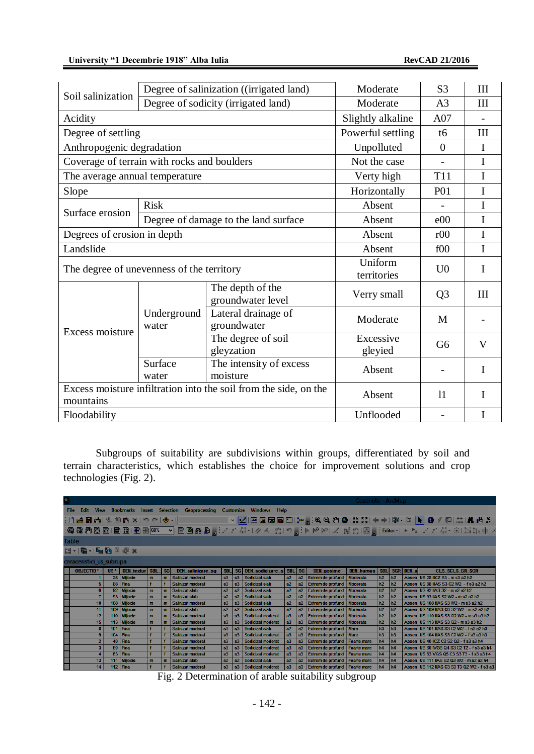|                                                                  |                      | Degree of salinization ((irrigated land) | Moderate          | S <sub>3</sub> | III       |  |
|------------------------------------------------------------------|----------------------|------------------------------------------|-------------------|----------------|-----------|--|
| Soil salinization                                                |                      | Degree of sodicity (irrigated land)      | Moderate          | A <sub>3</sub> | III       |  |
| Acidity                                                          |                      | Slightly alkaline                        | A07               |                |           |  |
| Degree of settling                                               |                      |                                          | Powerful settling | t6             | $\rm III$ |  |
| Anthropogenic degradation                                        |                      |                                          | Unpolluted        | $\overline{0}$ | I         |  |
| Coverage of terrain with rocks and boulders                      |                      |                                          | Not the case      |                | I         |  |
| The average annual temperature                                   |                      |                                          | Verty high        | <b>T11</b>     | I         |  |
| Slope                                                            |                      |                                          | Horizontally      | <b>P01</b>     | I         |  |
|                                                                  | <b>Risk</b>          |                                          | Absent            |                | I         |  |
| Surface erosion                                                  |                      | Degree of damage to the land surface     | Absent            | e00            | I         |  |
| Degrees of erosion in depth                                      |                      | Absent                                   | r00               | I              |           |  |
| Landslide                                                        |                      | Absent                                   | f00               | I              |           |  |
| The degree of unevenness of the territory                        |                      | Uniform                                  | U <sub>0</sub>    | $\mathbf I$    |           |  |
|                                                                  |                      |                                          | territories       |                |           |  |
|                                                                  |                      | The depth of the                         | Verry small       | Q <sub>3</sub> | III       |  |
|                                                                  |                      | groundwater level                        |                   |                |           |  |
| Excess moisture                                                  | Underground<br>water | Lateral drainage of<br>groundwater       | Moderate          | M              |           |  |
|                                                                  |                      | The degree of soil                       | Excessive         | G <sub>6</sub> | V         |  |
|                                                                  |                      | gleyzation                               | gleyied           |                |           |  |
|                                                                  | Surface              | The intensity of excess                  | Absent            |                | I         |  |
|                                                                  | water                | moisture                                 |                   |                |           |  |
| Excess moisture infiltration into the soil from the side, on the |                      | Absent                                   | 11                | I              |           |  |
| mountains                                                        |                      |                                          |                   |                |           |  |
| Floodability                                                     |                      | Unflooded                                |                   | I              |           |  |

Subgroups of suitability are subdivisions within groups, differentiated by soil and terrain characteristics, which establishes the choice for improvement solutions and crop technologies (Fig. 2).

|                          |                  |                  |     |                           |              |              |                                                                                          |                |                |                                                                                      |            |                |                                  | Costineia - ArcMap |                |                |           |                                              |  |
|--------------------------|------------------|------------------|-----|---------------------------|--------------|--------------|------------------------------------------------------------------------------------------|----------------|----------------|--------------------------------------------------------------------------------------|------------|----------------|----------------------------------|--------------------|----------------|----------------|-----------|----------------------------------------------|--|
|                          | File             |                  |     |                           |              |              | Edit View Bookmarks Insert Selection Geoprocessing Customize Windows Help                |                |                |                                                                                      |            |                |                                  |                    |                |                |           |                                              |  |
|                          |                  |                  |     | HDBBBI % ® ® x l > @ I◆ + |              |              |                                                                                          |                |                | ◡│ <mark>⋉</mark> │⊞Q5●⊡)∼ <sub>,</sub> ;QQ∜O ;;;; ←)│\$·□│ <mark>∖</mark>  ●∥®∥ Аå. |            |                |                                  |                    |                |                |           |                                              |  |
|                          |                  |                  |     |                           |              |              | :@@@@@@@@@@@@@@ <sub>@@</sub> ;//4J-/4  2  >  }P_ # 2  \$  D_ ;Editor+  ▶ \ //4+ \  \1}+ |                |                |                                                                                      |            |                |                                  |                    |                |                |           |                                              |  |
| <b>Table</b>             |                  |                  |     |                           |              |              |                                                                                          |                |                |                                                                                      |            |                |                                  |                    |                |                |           |                                              |  |
| 图 ·   雷 ·   雷 函 図 函 ×    |                  |                  |     |                           |              |              |                                                                                          |                |                |                                                                                      |            |                |                                  |                    |                |                |           |                                              |  |
| caraceristici us subrupa |                  |                  |     |                           |              |              |                                                                                          |                |                |                                                                                      |            |                |                                  |                    |                |                |           |                                              |  |
|                          | <b>OBJECTID*</b> |                  | US* | <b>DEN textur SBL</b>     |              | <b>SGI</b>   | <b>DEN</b> salinizare sq                                                                 | <b>SBL</b>     |                | SG DEN sodicizare s                                                                  | <b>SBL</b> | <b>SG</b>      | <b>DEN</b> gosime                | <b>DEN humus</b>   | <b>SBL</b>     |                | SGR DEN a | <b>CLS SCLS GR SGR</b>                       |  |
|                          |                  |                  |     | 28 Mijlocie               | m            | m            | Salinizat moderat                                                                        | s3             | s3             | Sodicizat slab                                                                       | a2         | a2             | <b>Extrem de profund</b>         | <b>Moderata</b>    | h2             | h2             |           | Absen US 28 IICZ S3 - m s3 a2 h2             |  |
|                          |                  | 5.               |     | 88 Fina                   |              |              | Salinizat moderat                                                                        | s <sub>3</sub> | s <sub>3</sub> | Sodicizat slab                                                                       | a2         |                | a2 Extrem de profund             | Moderata           | h2             | h2             |           | Absen US 88 IIAS S3 C2 W2 - f s3 a2 h2       |  |
|                          |                  | 6                |     | 92 Mijlocie               | m            | m            | Salinizat slab                                                                           | s2             |                | s2 Sodicizat slab                                                                    | a2         | a2             | <b>Extrem de profund</b>         | Moderata           | h2             | h2             |           | Absen US 92 IAS S2 - m s2 a2 h2              |  |
|                          |                  | $\overline{7}$   |     | 93 Mijlocie               | $\mathbf{m}$ | m            | Salinizat slab                                                                           | s2             | s2             | Sodicizat slab                                                                       | a2         | <b>a2</b>      | <b>Extrem de profund</b>         | Moderata           | h2             | h2             |           | Absen US 93 IAS S2 W2 - m s2 a2 h2           |  |
|                          |                  | 10 <sup>°</sup>  |     | 108 Mijlocie              | $\mathbf{m}$ | m            | Salinizat moderat                                                                        | s3             | s3             | Sodicizat slab                                                                       | a2         |                | a2 Extrem de profund             | Moderata           | h2             | h2             |           | Absen US 108 IIAS S3 W2 - m s3 a2 h2         |  |
|                          |                  | 11               |     | 109 Mijlocie              | $\mathbf{m}$ | $\mathbf{m}$ | Salinizat slab                                                                           | s2             | 82             | Sodicizat slab                                                                       | a2         | a2             | <b>Extrem de profund</b>         | <b>Moderata</b>    | h2             | h2             |           | Absen US 109 IIAS Q3 S2 W2 - m s2 a2 h2      |  |
|                          |                  | 12 <sup>2</sup>  |     | 110 Milocie               | $\mathbf{m}$ | m            | Salinizat moderat                                                                        | s3             | s3             | Sodicizat moderat                                                                    | a3         |                | a3 Extrem de profund             | <b>Moderata</b>    | h2             | h2             |           | Absen US 110 IIAS S3 Q2 W2 - m s3 a3 h2      |  |
|                          |                  | 15 <sub>15</sub> |     | 113 Mijlocie              | $\mathbf{m}$ | m            | Salinizat moderat                                                                        | s3             | s3             | Sodicizat moderat                                                                    | <b>a3</b>  | а3.            | <b>Extrem de profund</b>         | <b>Moderata</b>    | h2             | h2             |           | Absen US 113 IIAS S3 Q2 - m s3 a3 h2         |  |
|                          |                  | 8                |     | 101   Fina                |              |              | Salinizat moderat                                                                        | s <sub>3</sub> | s3             | Sodicizat slab                                                                       | a2         |                | a2 Extrem de profund   Mare      |                    | h3             | h3             |           | Absen   US 101 IIIAS S3 C2 W2 - fs3 a2 h3    |  |
|                          |                  | 9 <sup>°</sup>   |     | 104   Fina                |              |              | Salinizat moderat                                                                        | s3             | s3             | Sodicizat moderat                                                                    | a3         |                | a3 Extrem de profund   Mare      |                    | $h3$           | h3             |           | Absen   US 104 IIIAS S3 C2 W2 - fs3 a3 h3    |  |
|                          |                  | $\overline{2}$   |     | 40   Fina                 |              |              | Salinizat moderat                                                                        | s3             | s3             | Sodicizat moderat                                                                    | a3         | a3             | <b>Extrem de profund</b>         | <b>Foarte mare</b> | h4             | h <sub>4</sub> |           | Absen US 40 ICZ C2 S2 Q2 - f s3 a3 h4        |  |
|                          |                  | 3                |     | 60 Fina                   |              |              | Salinizat moderat                                                                        | s3             | s3             | Sodicizat moderat                                                                    | a3         | a3             | <b>Extrem de profund</b>         | <b>Foarte mare</b> | h <sub>4</sub> | h <sub>4</sub> |           | Absen US 60 IVGS Q4 S3 C2 T2 - f s3 a3 h4    |  |
|                          |                  |                  |     | 63 Fina                   |              |              | Salinizat moderat                                                                        | s3             | s3             | Sodicizat moderat                                                                    | a3         | a <sub>3</sub> | <b>Extrem de profund</b>         | Foarte mare        | h4             | h4             |           | Absen US 63 VGS Q5 C3 S3 T3 - f s3 a3 h4     |  |
|                          |                  | 13 <sub>1</sub>  |     | 111 Mijlocie              | $\mathbf{m}$ | m            | Salinizat slab                                                                           | s2             | s2             | Sodicizat slab                                                                       | a2         |                | a2 Extrem de profund             | Foarte mare        | h4             | h4             |           | Absen US 111 IAS S2 Q2 W2 - m s2 a2 h4       |  |
|                          |                  | 14               |     | 112 Fina                  |              |              | Salinizat moderat                                                                        | 83             |                | s3 Sodicizat moderat                                                                 | a3         |                | a3 Extrem de profund Foarte mare |                    | h4             | <b>h4</b>      |           | Absen   US 112 IIAS C3 S3 T3 Q2 W2 - f s3 a3 |  |

Fig. 2 Determination of arable suitability subgroup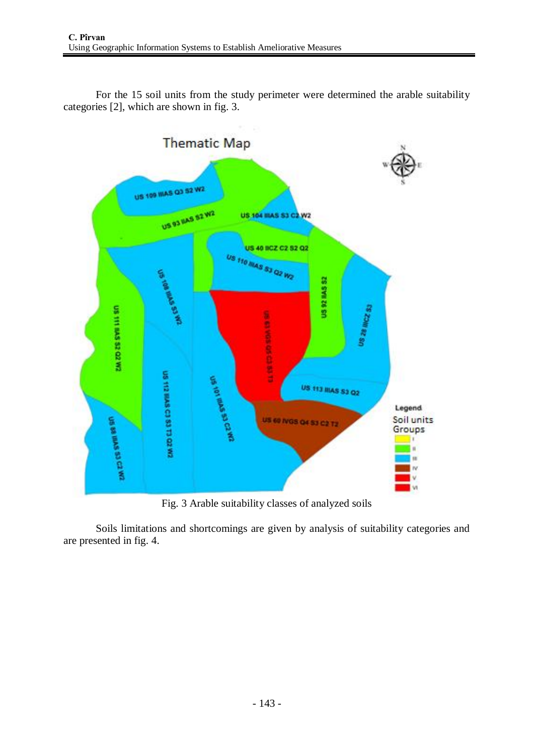For the 15 soil units from the study perimeter were determined the arable suitability categories [2], which are shown in fig. 3.



Fig. 3 Arable suitability classes of analyzed soils

Soils limitations and shortcomings are given by analysis of suitability categories and are presented in fig. 4.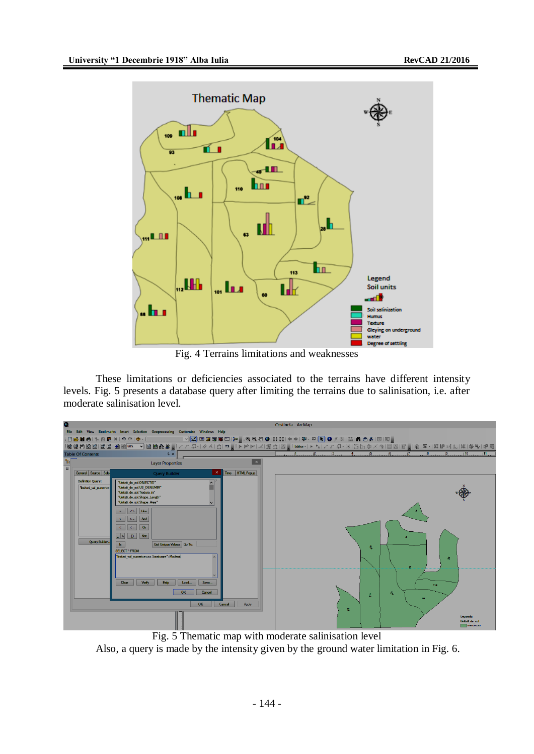

Fig. 4 Terrains limitations and weaknesses

These limitations or deficiencies associated to the terrains have different intensity levels. Fig. 5 presents a database query after limiting the terrains due to salinisation, i.e. after moderate salinisation level.

|                      |                          |                                                                                                                            | Costinela - ArcMap                                                                                                                                                                                                                                                            |
|----------------------|--------------------------|----------------------------------------------------------------------------------------------------------------------------|-------------------------------------------------------------------------------------------------------------------------------------------------------------------------------------------------------------------------------------------------------------------------------|
|                      |                          | File Edit View Bookmarks Insert Selection Geoprocessing Customize Windows Help                                             |                                                                                                                                                                                                                                                                               |
|                      |                          | ░D▅B▅▏▚® à×▏ゥぺ▏◆・▏▁▁▁▁▁▁░ <mark>░</mark> ▏█G55G□¦⊁,░QQ{`O}¦¦{QQ{*}}\$`{\$`¤│ <mark>\`</mark>  ❶〃® 益 A}5}{S!55 <sub>5</sub> |                                                                                                                                                                                                                                                                               |
|                      |                          |                                                                                                                            | $\ \mathbf{Q}\otimes\mathbf{P}\otimes\mathbf{B}\otimes\mathbf{B}\otimes\mathbf{B}\otimes\mathbf{B}\otimes\mathbf{B}\otimes\mathbf{B}\otimes\mathbf{B}\otimes\mathbf{B}\otimes\mathbf{B}\otimes\mathbf{B}\otimes\mathbf{B}\otimes\mathbf{B}\otimes\mathbf{B}\otimes\mathbf{B}$ |
|                      | <b>Table Of Contents</b> | $4 \times$                                                                                                                 |                                                                                                                                                                                                                                                                               |
| $\frac{1}{\sqrt{2}}$ |                          | <b>Layer Properties</b>                                                                                                    |                                                                                                                                                                                                                                                                               |
|                      | General Source Sele      | Time   HTML Popup<br><b>Query Builder</b>                                                                                  |                                                                                                                                                                                                                                                                               |
|                      | <b>Definition Query:</b> | "Unitati de sol.OBJECTID"                                                                                                  |                                                                                                                                                                                                                                                                               |
|                      | Timitari val numerice.   | "Unitati_de_sol.US_DENUMIR"                                                                                                |                                                                                                                                                                                                                                                                               |
|                      |                          | "Unitati de sol. Textura in"<br>"Unitati de sol.Shape Length"                                                              |                                                                                                                                                                                                                                                                               |
|                      |                          | "Unitati_de_sol.Shape_Area"                                                                                                |                                                                                                                                                                                                                                                                               |
|                      |                          | Like<br>$\leftrightarrow$                                                                                                  |                                                                                                                                                                                                                                                                               |
|                      |                          | And<br>$\geq$ =                                                                                                            |                                                                                                                                                                                                                                                                               |
|                      |                          | $\alpha$<br>$\leq$ =                                                                                                       |                                                                                                                                                                                                                                                                               |
|                      |                          | $\vert 0 \vert$<br>Not<br>$\mathbf{z}$                                                                                     |                                                                                                                                                                                                                                                                               |
|                      | Query Builder.           | Get Unique Values Go To:<br>$\mathbf{ls}$                                                                                  |                                                                                                                                                                                                                                                                               |
|                      |                          | SELECT * FROM                                                                                                              |                                                                                                                                                                                                                                                                               |
|                      |                          | "limitari_val_numerice.csv.Saraturare"=Moderat                                                                             | 恩                                                                                                                                                                                                                                                                             |
|                      |                          |                                                                                                                            |                                                                                                                                                                                                                                                                               |
|                      |                          |                                                                                                                            |                                                                                                                                                                                                                                                                               |
|                      |                          | <b>Verify</b><br><b>Help</b><br>Save<br>Clear<br>Load                                                                      |                                                                                                                                                                                                                                                                               |
|                      |                          |                                                                                                                            | 113                                                                                                                                                                                                                                                                           |
|                      |                          | Cancel<br><b>OK</b>                                                                                                        | 麦<br>â                                                                                                                                                                                                                                                                        |
|                      |                          | Cancel<br>OK<br>Apply                                                                                                      | 60                                                                                                                                                                                                                                                                            |
|                      |                          |                                                                                                                            | 昙                                                                                                                                                                                                                                                                             |
|                      |                          |                                                                                                                            | Legenda                                                                                                                                                                                                                                                                       |
|                      |                          |                                                                                                                            | Unitati de sol<br>Untat_de_sol                                                                                                                                                                                                                                                |

Fig. 5 Thematic map with moderate salinisation level Also, a query is made by the intensity given by the ground water limitation in Fig. 6.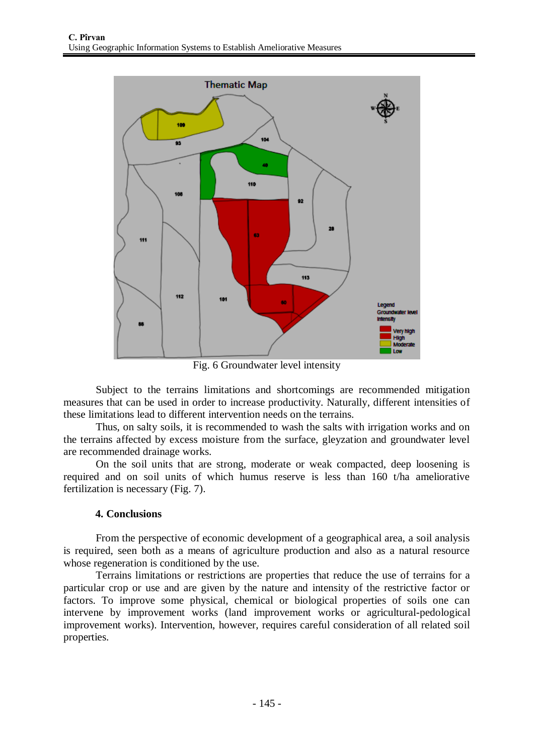

Fig. 6 Groundwater level intensity

Subject to the terrains limitations and shortcomings are recommended mitigation measures that can be used in order to increase productivity. Naturally, different intensities of these limitations lead to different intervention needs on the terrains.

Thus, on salty soils, it is recommended to wash the salts with irrigation works and on the terrains affected by excess moisture from the surface, gleyzation and groundwater level are recommended drainage works.

On the soil units that are strong, moderate or weak compacted, deep loosening is required and on soil units of which humus reserve is less than 160 t/ha ameliorative fertilization is necessary (Fig. 7).

## **4. Conclusions**

From the perspective of economic development of a geographical area, a soil analysis is required, seen both as a means of agriculture production and also as a natural resource whose regeneration is conditioned by the use.

Terrains limitations or restrictions are properties that reduce the use of terrains for a particular crop or use and are given by the nature and intensity of the restrictive factor or factors. To improve some physical, chemical or biological properties of soils one can intervene by improvement works (land improvement works or agricultural-pedological improvement works). Intervention, however, requires careful consideration of all related soil properties.